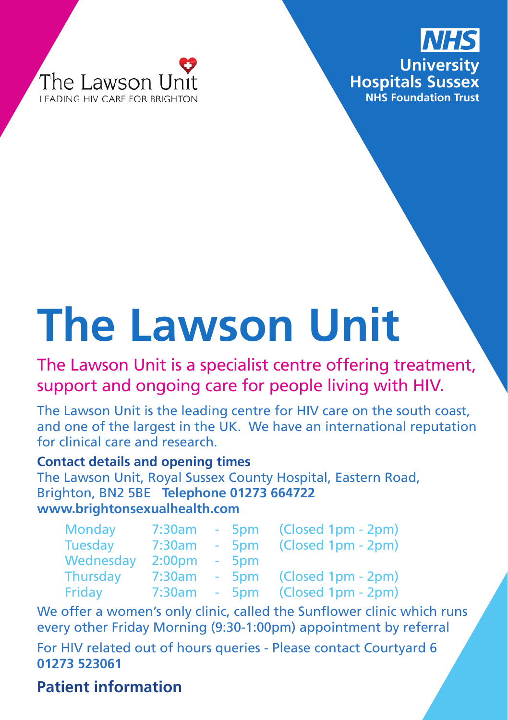



# **The Lawson Unit**

The Lawson Unit is a specialist centre offering treatment, support and ongoing care for people living with HIV.

The Lawson Unit is the leading centre for HIV care on the south coast, and one of the largest in the UK. We have an international reputation for clinical care and research.

#### **Contact details and opening times**

The Lawson Unit, Royal Sussex County Hospital, Eastern Road, Brighton, BN2 5BE **Telephone 01273 664722 www.brightonsexualhealth.com**

| Monday    | 7:30am             | $-5$ pm | (Closed 1pm - 2pm) |
|-----------|--------------------|---------|--------------------|
| Tuesday   | 7:30am             | $-5$ pm | (Closed 1pm - 2pm) |
| Wednesday | 2:00 <sub>pm</sub> | $-5$ pm |                    |
| Thursday  | 7:30am             | $-5pm$  | (Closed 1pm - 2pm) |
| Friday    | 7:30am             | $-5$ pm | (Closed 1pm - 2pm) |

We offer a women's only clinic, called the Sunflower clinic which runs every other Friday Morning (9:30-1:00pm) appointment by referral

For HIV related out of hours queries - Please contact Courtyard 6 **01273 523061**

#### **Patient information**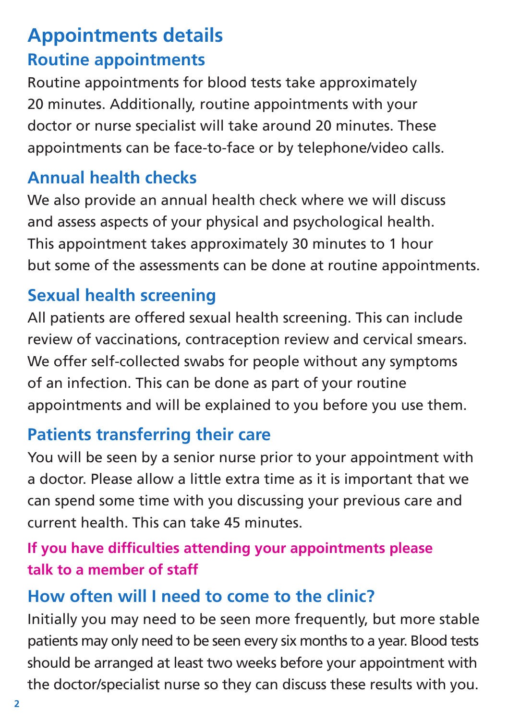# **Appointments details Routine appointments**

Routine appointments for blood tests take approximately 20 minutes. Additionally, routine appointments with your doctor or nurse specialist will take around 20 minutes. These appointments can be face-to-face or by telephone/video calls.

# **Annual health checks**

We also provide an annual health check where we will discuss and assess aspects of your physical and psychological health. This appointment takes approximately 30 minutes to 1 hour but some of the assessments can be done at routine appointments.

# **Sexual health screening**

All patients are offered sexual health screening. This can include review of vaccinations, contraception review and cervical smears. We offer self-collected swabs for people without any symptoms of an infection. This can be done as part of your routine appointments and will be explained to you before you use them.

## **Patients transferring their care**

You will be seen by a senior nurse prior to your appointment with a doctor. Please allow a little extra time as it is important that we can spend some time with you discussing your previous care and current health. This can take 45 minutes.

## **If you have difficulties attending your appointments please talk to a member of staff**

# **How often will I need to come to the clinic?**

Initially you may need to be seen more frequently, but more stable patients may only need to be seen every six months to a year. Blood tests should be arranged at least two weeks before your appointment with the doctor/specialist nurse so they can discuss these results with you.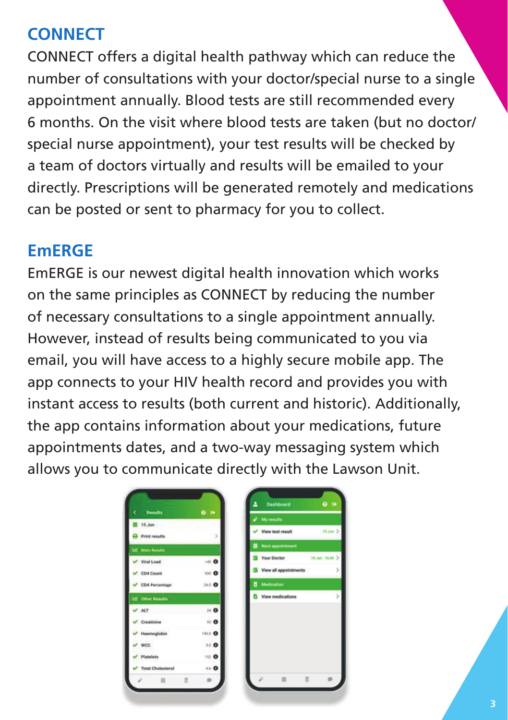## **CONNECT**

CONNECT offers a digital health pathway which can reduce the number of consultations with your doctor/special nurse to a single appointment annually. Blood tests are still recommended every 6 months. On the visit where blood tests are taken (but no doctor/ special nurse appointment), your test results will be checked by a team of doctors virtually and results will be emailed to your directly. Prescriptions will be generated remotely and medications can be posted or sent to pharmacy for you to collect.

#### **EmERGE**

EmERGE is our newest digital health innovation which works on the same principles as CONNECT by reducing the number of necessary consultations to a single appointment annually. However, instead of results being communicated to you via email, you will have access to a highly secure mobile app. The app connects to your HIV health record and provides you with instant access to results (both current and historic). Additionally, the app contains information about your medications, future appointments dates, and a two-way messaging system which allows you to communicate directly with the Lawson Unit.

| <b>Results</b>            | 0.14          |                              |                     |
|---------------------------|---------------|------------------------------|---------------------|
| 15 Jun.                   |               | $\rho$ My results            |                     |
| Print results             |               | View test result             | $15 \text{ km}$ $>$ |
| <b>IAE</b> Main Results   |               | <b>Next appointment</b><br>m |                     |
| Viral Load                | $-60$         | Your Doctor                  | 18 Jan 16:40 >      |
| $\vee$ CD4 Count          | 100 O         | View all appointments        |                     |
| $\vee$ CD4 Percentage     | 240 0         | Medication                   |                     |
| <b>Life Other Results</b> |               | View medications             |                     |
| $V$ ALT                   | 24 O          |                              |                     |
| Creatinine                | 12 ◎          |                              |                     |
| Haemoglobin               | 1450 <b>O</b> |                              |                     |
| <b>WCC</b>                | 5.D <b>O</b>  |                              |                     |
| Platelets                 | 152 O         |                              |                     |
| <b>Total Cholesterol</b>  | 4.5 <b>O</b>  |                              |                     |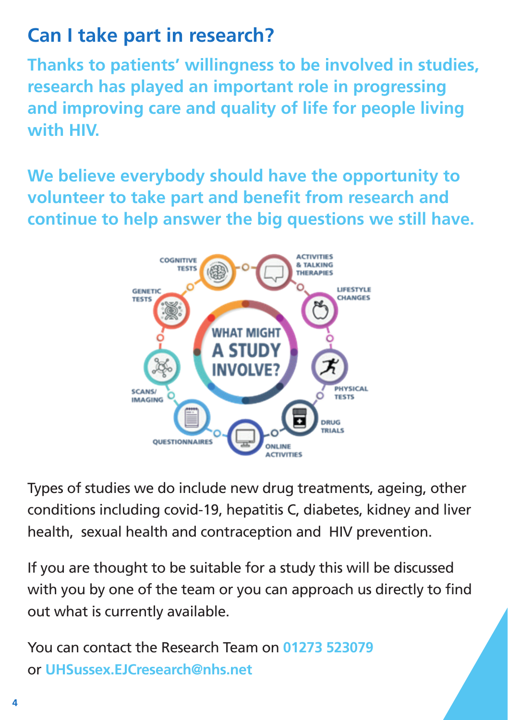# **Can I take part in research?**

**Thanks to patients' willingness to be involved in studies, research has played an important role in progressing and improving care and quality of life for people living with HIV.** 

**We believe everybody should have the opportunity to volunteer to take part and benefit from research and continue to help answer the big questions we still have.**



Types of studies we do include new drug treatments, ageing, other conditions including covid-19, hepatitis C, diabetes, kidney and liver health, sexual health and contraception and HIV prevention.

If you are thought to be suitable for a study this will be discussed with you by one of the team or you can approach us directly to find out what is currently available.

You can contact the Research Team on **01273 523079** or **UHSussex.EJCresearch@nhs.net**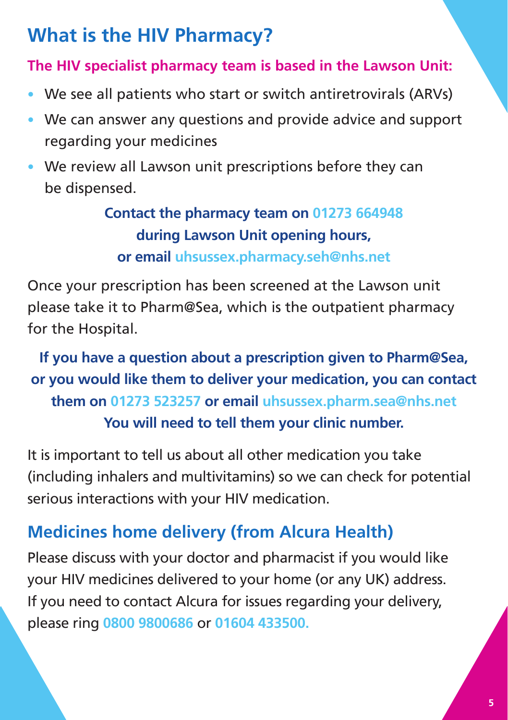# **What is the HIV Pharmacy?**

#### **The HIV specialist pharmacy team is based in the Lawson Unit:**

- We see all patients who start or switch antiretrovirals (ARVs)
- We can answer any questions and provide advice and support regarding your medicines
- We review all Lawson unit prescriptions before they can be dispensed.

## **Contact the pharmacy team on 01273 664948 during Lawson Unit opening hours, or email uhsussex.pharmacy.seh@nhs.net**

Once your prescription has been screened at the Lawson unit please take it to Pharm@Sea, which is the outpatient pharmacy for the Hospital.

## **If you have a question about a prescription given to Pharm@Sea, or you would like them to deliver your medication, you can contact them on 01273 523257 or email uhsussex.pharm.sea@nhs.net You will need to tell them your clinic number.**

It is important to tell us about all other medication you take (including inhalers and multivitamins) so we can check for potential serious interactions with your HIV medication.

# **Medicines home delivery (from Alcura Health)**

Please discuss with your doctor and pharmacist if you would like your HIV medicines delivered to your home (or any UK) address. If you need to contact Alcura for issues regarding your delivery, please ring **0800 9800686** or **01604 433500.**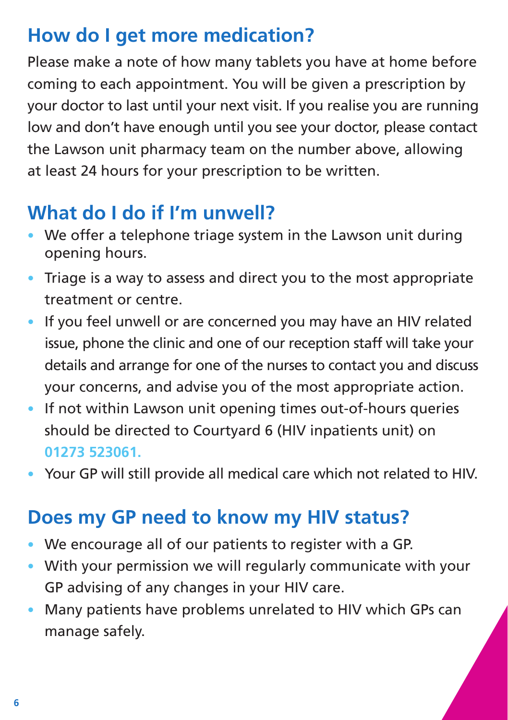# **How do I get more medication?**

Please make a note of how many tablets you have at home before coming to each appointment. You will be given a prescription by your doctor to last until your next visit. If you realise you are running low and don't have enough until you see your doctor, please contact the Lawson unit pharmacy team on the number above, allowing at least 24 hours for your prescription to be written.

# **What do I do if I'm unwell?**

- We offer a telephone triage system in the Lawson unit during opening hours.
- Triage is a way to assess and direct you to the most appropriate treatment or centre.
- If you feel unwell or are concerned you may have an HIV related issue, phone the clinic and one of our reception staff will take your details and arrange for one of the nurses to contact you and discuss your concerns, and advise you of the most appropriate action.
- If not within Lawson unit opening times out-of-hours queries should be directed to Courtyard 6 (HIV inpatients unit) on **01273 523061.**
- Your GP will still provide all medical care which not related to HIV.

# **Does my GP need to know my HIV status?**

- We encourage all of our patients to register with a GP.
- With your permission we will regularly communicate with your GP advising of any changes in your HIV care.
- Many patients have problems unrelated to HIV which GPs can manage safely.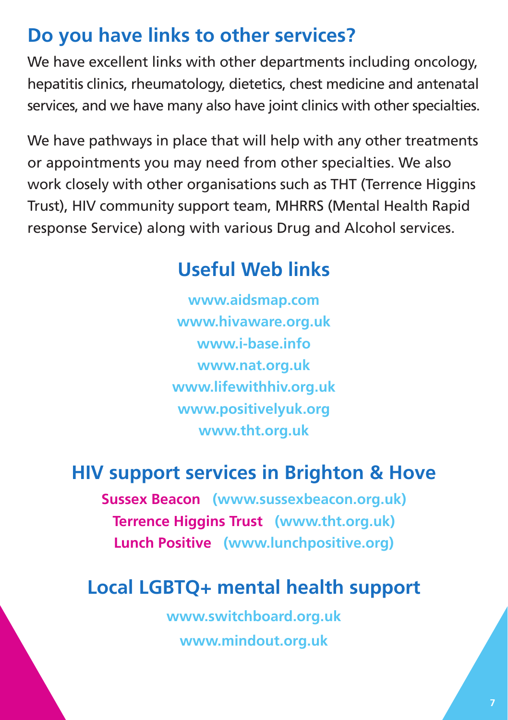# **Do you have links to other services?**

We have excellent links with other departments including oncology, hepatitis clinics, rheumatology, dietetics, chest medicine and antenatal services, and we have many also have joint clinics with other specialties.

We have pathways in place that will help with any other treatments or appointments you may need from other specialties. We also work closely with other organisations such as THT (Terrence Higgins Trust), HIV community support team, MHRRS (Mental Health Rapid response Service) along with various Drug and Alcohol services.

# **Useful Web links**

**www.aidsmap.com www.hivaware.org.uk www.i-base.info www.nat.org.uk www.lifewithhiv.org.uk www.positivelyuk.org www.tht.org.uk**

# **HIV support services in Brighton & Hove**

**Sussex Beacon (www.sussexbeacon.org.uk) Terrence Higgins Trust (www.tht.org.uk) Lunch Positive (www.lunchpositive.org)**

# **Local LGBTQ+ mental health support**

**www.switchboard.org.uk www.mindout.org.uk**